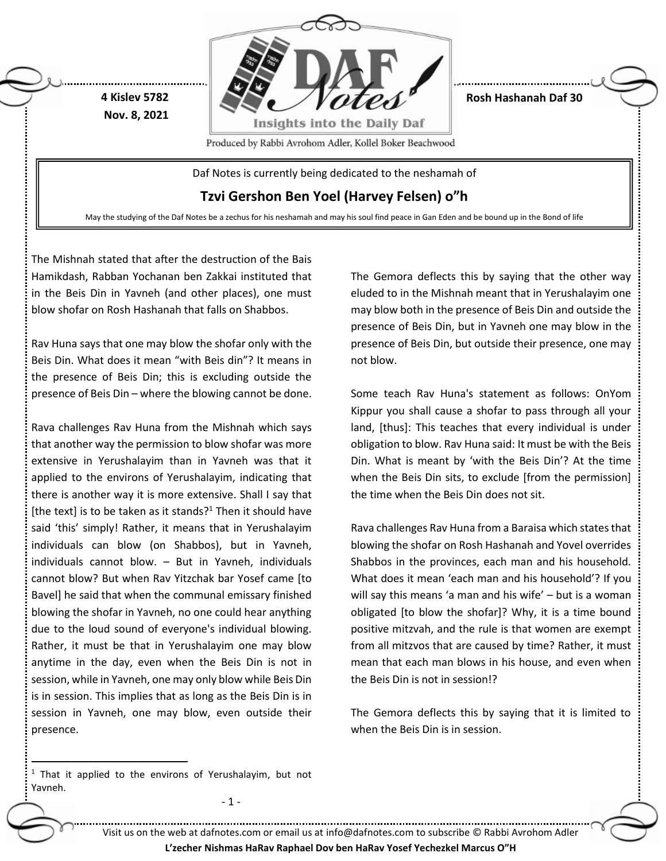

**Rosh Hashanah Daf 30**

Produced by Rabbi Avrohom Adler, Kollel Boker Beachwood

Daf Notes is currently being dedicated to the neshamah of

**Tzvi Gershon Ben Yoel (Harvey Felsen) o"h**

May the studying of the Daf Notes be a zechus for his neshamah and may his soul find peace in Gan Eden and be bound up in the Bond of life

The Mishnah stated that after the destruction of the Bais Hamikdash, Rabban Yochanan ben Zakkai instituted that in the Beis Din in Yavneh (and other places), one must blow shofar on Rosh Hashanah that falls on Shabbos.

**4 Kislev 5782 Nov. 8, 2021**

Rav Huna says that one may blow the shofar only with the Beis Din. What does it mean "with Beis din"? It means in the presence of Beis Din; this is excluding outside the presence of Beis Din – where the blowing cannot be done.

Rava challenges Rav Huna from the Mishnah which says that another way the permission to blow shofar was more extensive in Yerushalayim than in Yavneh was that it applied to the environs of Yerushalayim, indicating that there is another way it is more extensive. Shall I say that [the text] is to be taken as it stands?<sup>1</sup> Then it should have said 'this' simply! Rather, it means that in Yerushalayim individuals can blow (on Shabbos), but in Yavneh, individuals cannot blow. – But in Yavneh, individuals cannot blow? But when Rav Yitzchak bar Yosef came [to Bavel] he said that when the communal emissary finished blowing the shofar in Yavneh, no one could hear anything due to the loud sound of everyone's individual blowing. Rather, it must be that in Yerushalayim one may blow anytime in the day, even when the Beis Din is not in session, while in Yavneh, one may only blow while Beis Din is in session. This implies that as long as the Beis Din is in session in Yavneh, one may blow, even outside their presence.

The Gemora deflects this by saying that the other way eluded to in the Mishnah meant that in Yerushalayim one may blow both in the presence of Beis Din and outside the presence of Beis Din, but in Yavneh one may blow in the presence of Beis Din, but outside their presence, one may not blow.

Some teach Rav Huna's statement as follows: OnYom Kippur you shall cause a shofar to pass through all your land, [thus]: This teaches that every individual is under obligation to blow. Rav Huna said: It must be with the Beis Din. What is meant by 'with the Beis Din'? At the time when the Beis Din sits, to exclude [from the permission] the time when the Beis Din does not sit.

Rava challenges Rav Huna from a Baraisa which states that blowing the shofar on Rosh Hashanah and Yovel overrides Shabbos in the provinces, each man and his household. What does it mean 'each man and his household'? If you will say this means 'a man and his wife' – but is a woman obligated [to blow the shofar]? Why, it is a time bound positive mitzvah, and the rule is that women are exempt from all mitzvos that are caused by time? Rather, it must mean that each man blows in his house, and even when the Beis Din is not in session!?

The Gemora deflects this by saying that it is limited to when the Beis Din is in session.

 $\ddot{\phantom{a}}$ 

- 1 -

Visit us on the web at dafnotes.com or email us at [info@dafnotes.com](mailto:info@dafnotes.com) to subscribe © Rabbi Avrohom Adler

**L'zecher Nishmas HaRav Raphael Dov ben HaRav Yosef Yechezkel Marcus O"H**

 $1$  That it applied to the environs of Yerushalayim, but not Yavneh.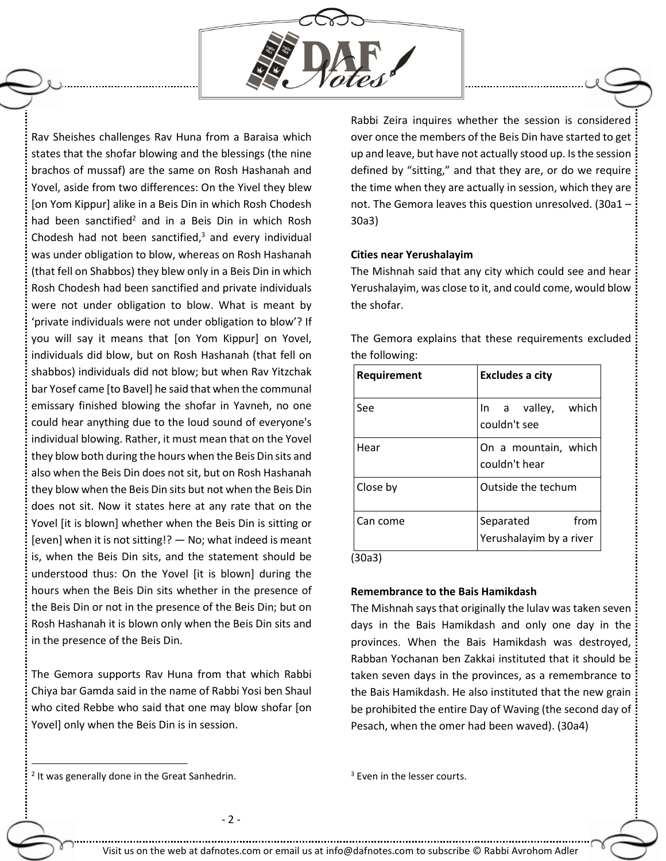

Rav Sheishes challenges Rav Huna from a Baraisa which states that the shofar blowing and the blessings (the nine brachos of mussaf) are the same on Rosh Hashanah and Yovel, aside from two differences: On the Yivel they blew [on Yom Kippur] alike in a Beis Din in which Rosh Chodesh had been sanctified<sup>2</sup> and in a Beis Din in which Rosh Chodesh had not been sanctified, $3$  and every individual was under obligation to blow, whereas on Rosh Hashanah (that fell on Shabbos) they blew only in a Beis Din in which Rosh Chodesh had been sanctified and private individuals were not under obligation to blow. What is meant by 'private individuals were not under obligation to blow'? If you will say it means that [on Yom Kippur] on Yovel, individuals did blow, but on Rosh Hashanah (that fell on shabbos) individuals did not blow; but when Rav Yitzchak bar Yosef came [to Bavel] he said that when the communal emissary finished blowing the shofar in Yavneh, no one could hear anything due to the loud sound of everyone's individual blowing. Rather, it must mean that on the Yovel they blow both during the hours when the Beis Din sits and also when the Beis Din does not sit, but on Rosh Hashanah they blow when the Beis Din sits but not when the Beis Din does not sit. Now it states here at any rate that on the Yovel [it is blown] whether when the Beis Din is sitting or [even] when it is not sitting!? — No; what indeed is meant is, when the Beis Din sits, and the statement should be understood thus: On the Yovel [it is blown] during the hours when the Beis Din sits whether in the presence of the Beis Din or not in the presence of the Beis Din; but on Rosh Hashanah it is blown only when the Beis Din sits and in the presence of the Beis Din.

The Gemora supports Rav Huna from that which Rabbi Chiya bar Gamda said in the name of Rabbi Yosi ben Shaul who cited Rebbe who said that one may blow shofar [on Yovel] only when the Beis Din is in session.

Rabbi Zeira inquires whether the session is considered over once the members of the Beis Din have started to get up and leave, but have not actually stood up. Is the session defined by "sitting," and that they are, or do we require the time when they are actually in session, which they are not. The Gemora leaves this question unresolved. (30a1 – 30a3)

### **Cities near Yerushalayim**

The Mishnah said that any city which could see and hear Yerushalayim, was close to it, and could come, would blow the shofar.

The Gemora explains that these requirements excluded the following:

| Requirement | Excludes a city                              |
|-------------|----------------------------------------------|
| See         | In a valley, which<br>couldn't see           |
| Hear        | On a mountain, which<br>couldn't hear        |
| Close by    | Outside the techum                           |
| Can come    | from<br>Separated<br>Yerushalayim by a river |

(30a3)

## **Remembrance to the Bais Hamikdash**

The Mishnah says that originally the lulav was taken seven days in the Bais Hamikdash and only one day in the provinces. When the Bais Hamikdash was destroyed, Rabban Yochanan ben Zakkai instituted that it should be taken seven days in the provinces, as a remembrance to the Bais Hamikdash. He also instituted that the new grain be prohibited the entire Day of Waving (the second day of Pesach, when the omer had been waved). (30a4)

<sup>2</sup> It was generally done in the Great Sanhedrin.

 $\overline{a}$ 

<sup>3</sup> Even in the lesser courts.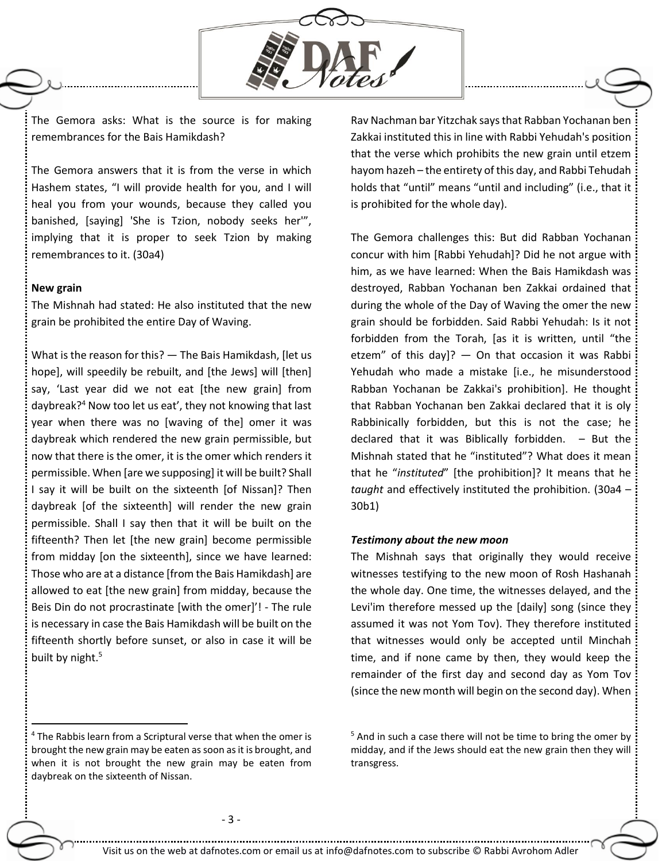

The Gemora asks: What is the source is for making remembrances for the Bais Hamikdash?

The Gemora answers that it is from the verse in which Hashem states, "I will provide health for you, and I will heal you from your wounds, because they called you banished, [saying] 'She is Tzion, nobody seeks her'", implying that it is proper to seek Tzion by making remembrances to it. (30a4)

### **New grain**

 $\overline{a}$ 

The Mishnah had stated: He also instituted that the new grain be prohibited the entire Day of Waving.

What is the reason for this? — The Bais Hamikdash, [let us hope], will speedily be rebuilt, and [the Jews] will [then] say, 'Last year did we not eat [the new grain] from daybreak?<sup>4</sup> Now too let us eat', they not knowing that last year when there was no [waving of the] omer it was daybreak which rendered the new grain permissible, but now that there is the omer, it is the omer which renders it permissible. When [are we supposing] it will be built? Shall I say it will be built on the sixteenth [of Nissan]? Then daybreak [of the sixteenth] will render the new grain permissible. Shall I say then that it will be built on the fifteenth? Then let [the new grain] become permissible from midday [on the sixteenth], since we have learned: Those who are at a distance [from the Bais Hamikdash] are allowed to eat [the new grain] from midday, because the Beis Din do not procrastinate [with the omer]'! - The rule is necessary in case the Bais Hamikdash will be built on the fifteenth shortly before sunset, or also in case it will be built by night.<sup>5</sup>

 $4$  The Rabbis learn from a Scriptural verse that when the omer is brought the new grain may be eaten as soon as it is brought, and when it is not brought the new grain may be eaten from daybreak on the sixteenth of Nissan.

Rav Nachman bar Yitzchak says that Rabban Yochanan ben Zakkai instituted this in line with Rabbi Yehudah's position that the verse which prohibits the new grain until etzem hayom hazeh – the entirety of this day, and Rabbi Tehudah holds that "until" means "until and including" (i.e., that it is prohibited for the whole day).

The Gemora challenges this: But did Rabban Yochanan concur with him [Rabbi Yehudah]? Did he not argue with him, as we have learned: When the Bais Hamikdash was destroyed, Rabban Yochanan ben Zakkai ordained that during the whole of the Day of Waving the omer the new grain should be forbidden. Said Rabbi Yehudah: Is it not forbidden from the Torah, [as it is written, until "the etzem" of this day]?  $-$  On that occasion it was Rabbi Yehudah who made a mistake [i.e., he misunderstood Rabban Yochanan be Zakkai's prohibition]. He thought that Rabban Yochanan ben Zakkai declared that it is oly Rabbinically forbidden, but this is not the case; he declared that it was Biblically forbidden.  $-$  But the Mishnah stated that he "instituted"? What does it mean that he "*instituted*" [the prohibition]? It means that he *taught* and effectively instituted the prohibition. (30a4 – 30b1)

### *Testimony about the new moon*

The Mishnah says that originally they would receive witnesses testifying to the new moon of Rosh Hashanah the whole day. One time, the witnesses delayed, and the Levi'im therefore messed up the [daily] song (since they assumed it was not Yom Tov). They therefore instituted that witnesses would only be accepted until Minchah time, and if none came by then, they would keep the remainder of the first day and second day as Yom Tov (since the new month will begin on the second day). When

 $5$  And in such a case there will not be time to bring the omer by midday, and if the Jews should eat the new grain then they will transgress.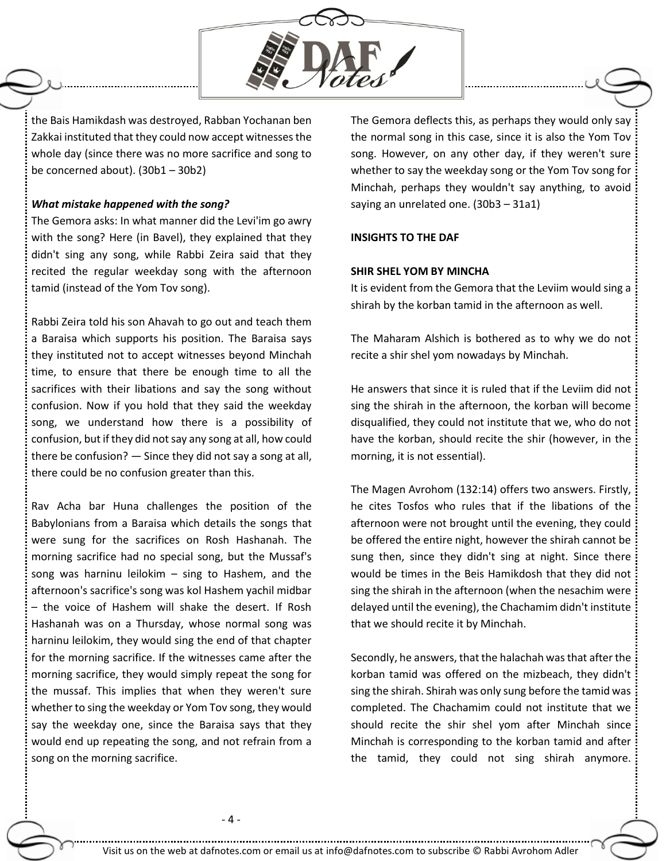

the Bais Hamikdash was destroyed, Rabban Yochanan ben Zakkai instituted that they could now accept witnesses the whole day (since there was no more sacrifice and song to be concerned about). (30b1 – 30b2)

### *What mistake happened with the song?*

The Gemora asks: In what manner did the Levi'im go awry with the song? Here (in Bavel), they explained that they didn't sing any song, while Rabbi Zeira said that they recited the regular weekday song with the afternoon tamid (instead of the Yom Tov song).

Rabbi Zeira told his son Ahavah to go out and teach them a Baraisa which supports his position. The Baraisa says they instituted not to accept witnesses beyond Minchah time, to ensure that there be enough time to all the sacrifices with their libations and say the song without confusion. Now if you hold that they said the weekday song, we understand how there is a possibility of confusion, but if they did not say any song at all, how could there be confusion? — Since they did not say a song at all, there could be no confusion greater than this.

Rav Acha bar Huna challenges the position of the Babylonians from a Baraisa which details the songs that were sung for the sacrifices on Rosh Hashanah. The morning sacrifice had no special song, but the Mussaf's song was harninu leilokim – sing to Hashem, and the afternoon's sacrifice's song was kol Hashem yachil midbar – the voice of Hashem will shake the desert. If Rosh Hashanah was on a Thursday, whose normal song was harninu leilokim, they would sing the end of that chapter for the morning sacrifice. If the witnesses came after the morning sacrifice, they would simply repeat the song for the mussaf. This implies that when they weren't sure whether to sing the weekday or Yom Tov song, they would say the weekday one, since the Baraisa says that they would end up repeating the song, and not refrain from a song on the morning sacrifice.

The Gemora deflects this, as perhaps they would only say the normal song in this case, since it is also the Yom Tov song. However, on any other day, if they weren't sure whether to say the weekday song or the Yom Tov song for Minchah, perhaps they wouldn't say anything, to avoid saying an unrelated one. (30b3 – 31a1)

### **INSIGHTS TO THE DAF**

#### **SHIR SHEL YOM BY MINCHA**

It is evident from the Gemora that the Leviim would sing a shirah by the korban tamid in the afternoon as well.

The Maharam Alshich is bothered as to why we do not recite a shir shel yom nowadays by Minchah.

He answers that since it is ruled that if the Leviim did not sing the shirah in the afternoon, the korban will become disqualified, they could not institute that we, who do not have the korban, should recite the shir (however, in the morning, it is not essential).

The Magen Avrohom (132:14) offers two answers. Firstly, he cites Tosfos who rules that if the libations of the afternoon were not brought until the evening, they could be offered the entire night, however the shirah cannot be sung then, since they didn't sing at night. Since there would be times in the Beis Hamikdosh that they did not sing the shirah in the afternoon (when the nesachim were delayed until the evening), the Chachamim didn't institute that we should recite it by Minchah.

Secondly, he answers, that the halachah was that after the korban tamid was offered on the mizbeach, they didn't sing the shirah. Shirah was only sung before the tamid was completed. The Chachamim could not institute that we should recite the shir shel yom after Minchah since Minchah is corresponding to the korban tamid and after the tamid, they could not sing shirah anymore.